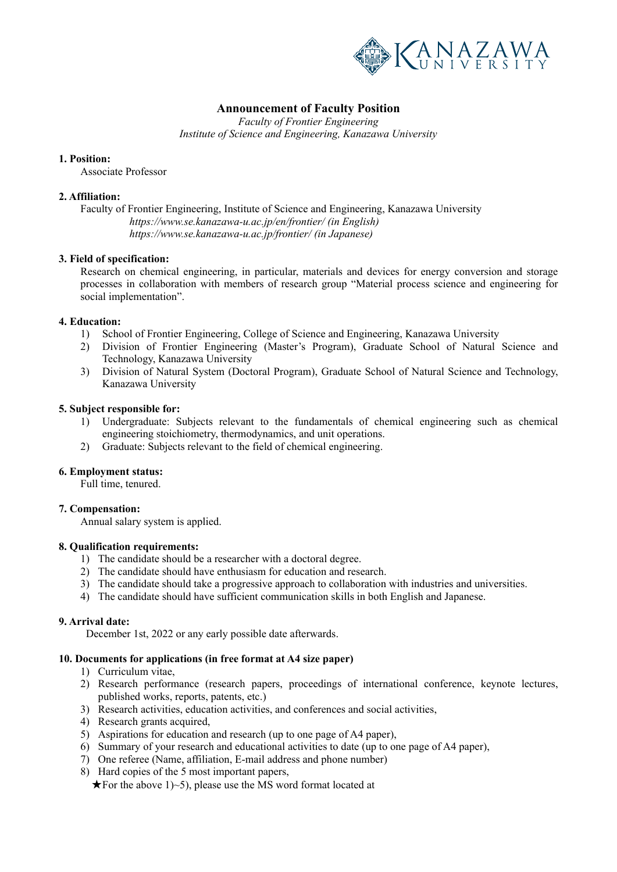

# **Announcement of Faculty Position**

*Faculty of Frontier Engineering* 

*Institute of Science and Engineering, Kanazawa University*

# **1. Position:**

Associate Professor

# **2. Affiliation:**

Faculty of Frontier Engineering, Institute of Science and Engineering, Kanazawa University  *https://www.se.kanazawa-u.ac.jp/en/frontier/ (in English) https://www.se.kanazawa-u.ac.jp/frontier/ (in Japanese)* 

# **3. Field of specification:**

Research on chemical engineering, in particular, materials and devices for energy conversion and storage processes in collaboration with members of research group "Material process science and engineering for social implementation".

# **4. Education:**

- 1) School of Frontier Engineering, College of Science and Engineering, Kanazawa University
- 2) Division of Frontier Engineering (Master's Program), Graduate School of Natural Science and Technology, Kanazawa University
- 3) Division of Natural System (Doctoral Program), Graduate School of Natural Science and Technology, Kanazawa University

# **5. Subject responsible for:**

- 1) Undergraduate: Subjects relevant to the fundamentals of chemical engineering such as chemical engineering stoichiometry, thermodynamics, and unit operations.
- 2) Graduate: Subjects relevant to the field of chemical engineering.

### **6. Employment status:**

Full time, tenured.

# **7. Compensation:**

Annual salary system is applied.

# **8. Qualification requirements:**

- 1) The candidate should be a researcher with a doctoral degree.
- 2) The candidate should have enthusiasm for education and research.
- 3) The candidate should take a progressive approach to collaboration with industries and universities.
- 4) The candidate should have sufficient communication skills in both English and Japanese.

### **9. Arrival date:**

December 1st, 2022 or any early possible date afterwards.

### **10. Documents for applications (in free format at A4 size paper)**

- 1) Curriculum vitae,
- 2) Research performance (research papers, proceedings of international conference, keynote lectures, published works, reports, patents, etc.)
- 3) Research activities, education activities, and conferences and social activities,
- 4) Research grants acquired,
- 5) Aspirations for education and research (up to one page of A4 paper),
- 6) Summary of your research and educational activities to date (up to one page of A4 paper),
- 7) One referee (Name, affiliation, E-mail address and phone number)
- 8) Hard copies of the 5 most important papers,

 $\star$  For the above 1)~5), please use the MS word format located at